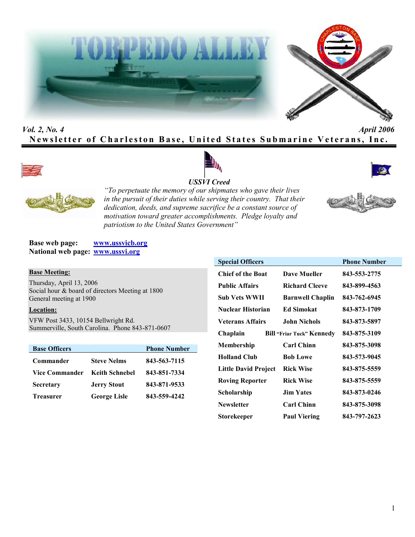



# *Vol. 2, No. 4 April 2006* **Newsletter of Charleston Base, United States Submarine Veterans, Inc.**









*"To perpetuate the memory of our shipmates who gave their lives in the pursuit of their duties while serving their country. That their dedication, deeds, and supreme sacrifice be a constant source of motivation toward greater accomplishments. Pledge loyalty and patriotism to the United States Government"*

**Base web page: www.ussvicb.org National web page: www.ussvi.org**

#### **Base Meeting:**

Thursday, April 13, 2006 Social hour & board of directors Meeting at 1800 General meeting at 1900

## **Location:**

VFW Post 3433, 10154 Bellwright Rd. Summerville, South Carolina. Phone 843-871-0607

| <b>Base Officers</b>  |                       | <b>Phone Number</b> |
|-----------------------|-----------------------|---------------------|
| Commander             | <b>Steve Nelms</b>    | 843-563-7115        |
| <b>Vice Commander</b> | <b>Keith Schnebel</b> | 843-851-7334        |
| <b>Secretary</b>      | <b>Jerry Stout</b>    | 843-871-9533        |
| <b>Treasurer</b>      | <b>George Lisle</b>   | 843-559-4242        |

| <b>Special Officers</b>  |                                  | <b>Phone Number</b> |
|--------------------------|----------------------------------|---------------------|
| <b>Chief of the Boat</b> | Dave Mueller                     | 843-553-2775        |
| <b>Public Affairs</b>    | <b>Richard Cleeve</b>            | 843-899-4563        |
| Sub Vets WWII            | <b>Barnwell Chaplin</b>          | 843-762-6945        |
| Nuclear Historian        | <b>Ed Simokat</b>                | 843-873-1709        |
| <b>Veterans Affairs</b>  | John Nichols                     | 843-873-5897        |
| Chaplain                 | <b>Bill "Friar Tuck" Kennedy</b> | 843-875-3109        |
| Membership               | <b>Carl Chinn</b>                | 843-875-3098        |
| <b>Holland Club</b>      | <b>Bob Lowe</b>                  | 843-573-9045        |
| Little David Project     | <b>Rick Wise</b>                 | 843-875-5559        |
| <b>Roving Reporter</b>   | <b>Rick Wise</b>                 | 843-875-5559        |
| Scholarship              | <b>Jim Yates</b>                 | 843-873-0246        |
| <b>Newsletter</b>        | <b>Carl Chinn</b>                | 843-875-3098        |
| Storekeeper              | <b>Paul Viering</b>              | 843-797-2623        |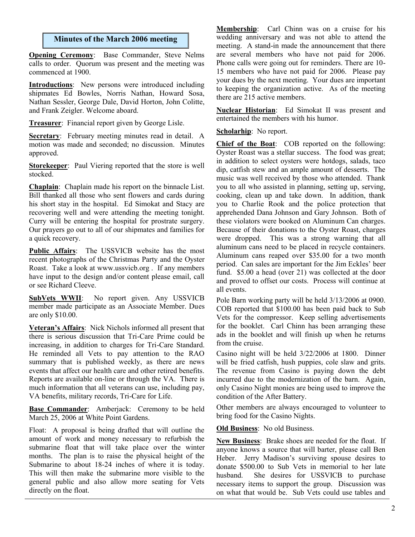# **Minutes of the March 2006 meeting**

**Opening Ceremony**: Base Commander, Steve Nelms calls to order. Quorum was present and the meeting was commenced at 1900.

**Introductions**: New persons were introduced including shipmates Ed Bowles, Norris Nathan, Howard Sosa, Nathan Sessler, George Dale, David Horton, John Colitte, and Frank Zeigler. Welcome aboard.

**Treasurer**: Financial report given by George Lisle.

**Secretary**: February meeting minutes read in detail. A motion was made and seconded; no discussion. Minutes approved.

**Storekeeper**: Paul Viering reported that the store is well stocked.

**Chaplain**: Chaplain made his report on the binnacle List. Bill thanked all those who sent flowers and cards during his short stay in the hospital. Ed Simokat and Stacy are recovering well and were attending the meeting tonight. Curry will be entering the hospital for prostrate surgery. Our prayers go out to all of our shipmates and families for a quick recovery.

**Public Affairs**: The USSVICB website has the most recent photographs of the Christmas Party and the Oyster Roast. Take a look at www.ussvicb.org . If any members have input to the design and/or content please email, call or see Richard Cleeve.

**SubVets WWII**: No report given. Any USSVICB member made participate as an Associate Member. Dues are only \$10.00.

**Veteran's Affairs**: Nick Nichols informed all present that there is serious discussion that Tri-Care Prime could be increasing, in addition to charges for Tri-Care Standard. He reminded all Vets to pay attention to the RAO summary that is published weekly, as there are news events that affect our health care and other retired benefits. Reports are available on-line or through the VA. There is much information that all veterans can use, including pay, VA benefits, military records, Tri-Care for Life.

**Base Commander:** Amberjack: Ceremony to be held March 25, 2006 at White Point Gardens.

Float: A proposal is being drafted that will outline the amount of work and money necessary to refurbish the submarine float that will take place over the winter months. The plan is to raise the physical height of the Submarine to about 18-24 inches of where it is today. This will then make the submarine more visible to the general public and also allow more seating for Vets directly on the float.

**Membership**: Carl Chinn was on a cruise for his wedding anniversary and was not able to attend the meeting. A stand-in made the announcement that there are several members who have not paid for 2006. Phone calls were going out for reminders. There are 10- 15 members who have not paid for 2006. Please pay your dues by the next meeting. Your dues are important to keeping the organization active. As of the meeting there are 215 active members.

**Nuclear Historian**: Ed Simokat II was present and entertained the members with his humor.

**Scholarhip**: No report.

**Chief of the Boat**: COB reported on the following: Oyster Roast was a stellar success. The food was great; in addition to select oysters were hotdogs, salads, taco dip, catfish stew and an ample amount of desserts. The music was well received by those who attended. Thank you to all who assisted in planning, setting up, serving, cooking, clean up and take down. In addition, thank you to Charlie Rook and the police protection that apprehended Dana Johnson and Gary Johnson. Both of these violators were booked on Aluminum Can charges. Because of their donations to the Oyster Roast, charges were dropped. This was a strong warning that all aluminum cans need to be placed in recycle containers. Aluminum cans reaped over \$35.00 for a two month period. Can sales are important for the Jim Eckles' beer fund. \$5.00 a head (over 21) was collected at the door and proved to offset our costs. Process will continue at all events.

Pole Barn working party will be held 3/13/2006 at 0900. COB reported that \$100.00 has been paid back to Sub Vets for the compressor. Keep selling advertisements for the booklet. Carl Chinn has been arranging these ads in the booklet and will finish up when he returns from the cruise.

Casino night will be held 3/22/2006 at 1800. Dinner will be fried catfish, hush puppies, cole slaw and grits. The revenue from Casino is paying down the debt incurred due to the modernization of the barn. Again, only Casino Night monies are being used to improve the condition of the After Battery.

Other members are always encouraged to volunteer to bring food for the Casino Nights.

**Old Business**: No old Business.

**New Business**: Brake shoes are needed for the float. If anyone knows a source that will barter, please call Ben Heber. Jerry Madison's surviving spouse desires to donate \$500.00 to Sub Vets in memorial to her late husband. She desires for USSVICB to purchase necessary items to support the group. Discussion was on what that would be. Sub Vets could use tables and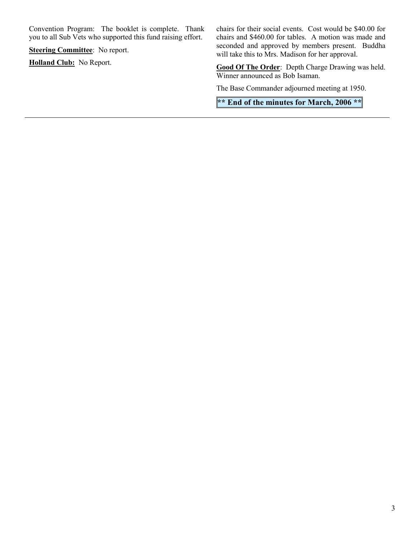Convention Program: The booklet is complete. Thank you to all Sub Vets who supported this fund raising effort.

**Steering Committee:** No report.

**Holland Club:** No Report.

chairs for their social events. Cost would be \$40.00 for chairs and \$460.00 for tables. A motion was made and seconded and approved by members present. Buddha will take this to Mrs. Madison for her approval.

**Good Of The Order**: Depth Charge Drawing was held. Winner announced as Bob Isaman.

The Base Commander adjourned meeting at 1950.

**\*\* End of the minutes for March, 2006 \*\***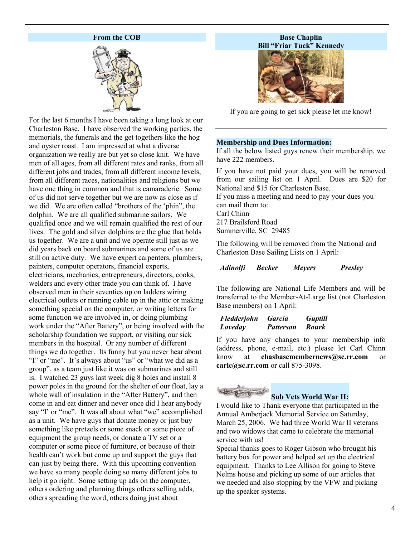## **From the COB**



For the last 6 months I have been taking a long look at our Charleston Base. I have observed the working parties, the memorials, the funerals and the get togethers like the hog and oyster roast. I am impressed at what a diverse organization we really are but yet so close knit. We have men of all ages, from all different rates and ranks, from all different jobs and trades, from all different income levels, from all different races, nationalities and religions but we have one thing in common and that is camaraderie. Some of us did not serve together but we are now as close as if we did. We are often called "brothers of the 'phin", the dolphin. We are all qualified submarine sailors. We qualified once and we will remain qualified the rest of our lives. The gold and silver dolphins are the glue that holds us together. We are a unit and we operate still just as we did years back on board submarines and some of us are still on active duty. We have expert carpenters, plumbers, painters, computer operators, financial experts, electricians, mechanics, entrepreneurs, directors, cooks, welders and every other trade you can think of. I have observed men in their seventies up on ladders wiring electrical outlets or running cable up in the attic or making something special on the computer, or writing letters for some function we are involved in, or doing plumbing work under the "After Battery", or being involved with the scholarship foundation we support, or visiting our sick members in the hospital. Or any number of different things we do together. Its funny but you never hear about "I" or "me". It's always about "us" or "what we did as a group", as a team just like it was on submarines and still is. I watched 23 guys last week dig 8 holes and install 8 power poles in the ground for the shelter of our float, lay a whole wall of insulation in the "After Battery", and then come in and eat dinner and never once did I hear anybody say "I' or "me". It was all about what "we" accomplished as a unit. We have guys that donate money or just buy something like pretzels or some snack or some piece of equipment the group needs, or donate a TV set or a computer or some piece of furniture, or because of their health can't work but come up and support the guys that can just by being there. With this upcoming convention we have so many people doing so many different jobs to help it go right. Some setting up ads on the computer, others ordering and planning things others selling adds, others spreading the word, others doing just about

## **Base Chaplin Bill "Friar Tuck" Kennedy**



If you are going to get sick please let me know!

#### **Membership and Dues Information:**

If all the below listed guys renew their membership, we have 222 members.

If you have not paid your dues, you will be removed from our sailing list on 1 April. Dues are \$20 for National and \$15 for Charleston Base. If you miss a meeting and need to pay your dues you can mail them to: Carl Chinn 217 Brailsford Road Summerville, SC 29485

The following will be removed from the National and Charleston Base Sailing Lists on 1 April:

#### *Adinolfi Becker Meyers Presley*

The following are National Life Members and will be transferred to the Member-At-Large list (not Charleston Base members) on 1 April:

#### *Fledderjohn Garcia Guptill Loveday Patterson Rourk*

If you have any changes to your membership info (address, phone, e-mail, etc.) please let Carl Chinn know at **chasbasemembernews@sc.rr.com** or **carlc@sc.rr.com** or call 875-3098.

# **Sub Vets World War II:**

I would like to Thank everyone that participated in the Annual Amberjack Memorial Service on Saturday, March 25, 2006. We had three World War II veterans and two widows that came to celebrate the memorial service with us!

Special thanks goes to Roger Gibson who brought his battery box for power and helped set up the electrical equipment. Thanks to Lee Allison for going to Steve Nelms house and picking up some of our articles that we needed and also stopping by the VFW and picking up the speaker systems.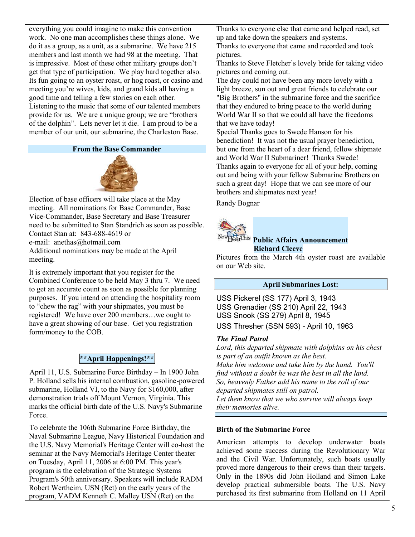everything you could imagine to make this convention work. No one man accomplishes these things alone. We do it as a group, as a unit, as a submarine. We have 215 members and last month we had 98 at the meeting. That is impressive. Most of these other military groups don't get that type of participation. We play hard together also. Its fun going to an oyster roast, or hog roast, or casino and meeting you're wives, kids, and grand kids all having a good time and telling a few stories on each other. Listening to the music that some of our talented members provide for us. We are a unique group; we are "brothers of the dolphin". Lets never let it die. I am proud to be a member of our unit, our submarine, the Charleston Base.

## **From the Base Commander**



Election of base officers will take place at the May meeting. All nominations for Base Commander, Base Vice-Commander, Base Secretary and Base Treasurer need to be submitted to Stan Standrich as soon as possible. Contact Stan at: 843-688-4619 or e-mail: anethas@hotmail.com Additional nominations may be made at the April meeting.

It is extremely important that you register for the Combined Conference to be held May 3 thru 7. We need to get an accurate count as soon as possible for planning purposes. If you intend on attending the hospitality room to "chew the rag" with your shipmates, you must be registered! We have over 200 members…we ought to have a great showing of our base. Get you registration form/money to the COB.

# **\*\*April Happenings!\*\***

April 11, U.S. Submarine Force Birthday – In 1900 John P. Holland sells his internal combustion, gasoline-powered submarine, Holland VI, to the Navy for \$160,000, after demonstration trials off Mount Vernon, Virginia. This marks the official birth date of the U.S. Navy's Submarine Force.

To celebrate the 106th Submarine Force Birthday, the Naval Submarine League, Navy Historical Foundation and the U.S. Navy Memorial's Heritage Center will co-host the seminar at the Navy Memorial's Heritage Center theater on Tuesday, April 11, 2006 at 6:00 PM. This year's program is the celebration of the Strategic Systems Program's 50th anniversary. Speakers will include RADM Robert Wertheim, USN (Ret) on the early years of the program, VADM Kenneth C. Malley USN (Ret) on the

Thanks to everyone else that came and helped read, set up and take down the speakers and systems.

Thanks to everyone that came and recorded and took pictures.

Thanks to Steve Fletcher's lovely bride for taking video pictures and coming out.

The day could not have been any more lovely with a light breeze, sun out and great friends to celebrate our "Big Brothers" in the submarine force and the sacrifice that they endured to bring peace to the world during World War II so that we could all have the freedoms that we have today!

Special Thanks goes to Swede Hanson for his benediction! It was not the usual prayer benediction, but one from the heart of a dear friend, fellow shipmate and World War II Submariner! Thanks Swede! Thanks again to everyone for all of your help, coming out and being with your fellow Submarine Brothers on such a great day! Hope that we can see more of our brothers and shipmates next year!

Randy Bognar



## **Public Affairs Announcement Richard Cleeve**

Pictures from the March 4th oyster roast are available on our Web site.

# **April Submarines Lost:**

USS Pickerel (SS 177) April 3, 1943 USS Grenadier (SS 210) April 22, 1943 USS Snook (SS 279) April 8, 1945 USS Thresher (SSN 593) - April 10, 1963

## *The Final Patrol*

*Lord, this departed shipmate with dolphins on his chest is part of an outfit known as the best. Make him welcome and take him by the hand. You'll find without a doubt he was the best in all the land. So, heavenly Father add his name to the roll of our departed shipmates still on patrol. Let them know that we who survive will always keep their memories alive.*

#### **Birth of the Submarine Force**

American attempts to develop underwater boats achieved some success during the Revolutionary War and the Civil War. Unfortunately, such boats usually proved more dangerous to their crews than their targets. Only in the 1890s did John Holland and Simon Lake develop practical submersible boats. The U.S. Navy purchased its first submarine from Holland on 11 April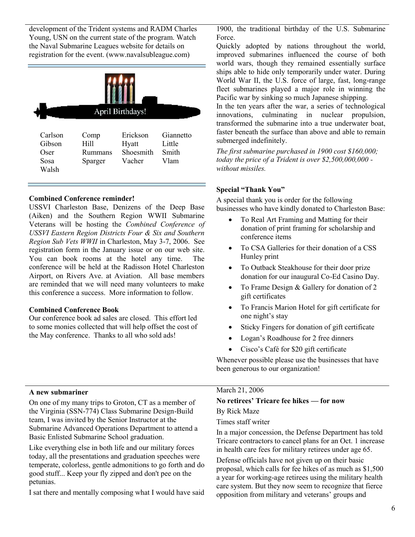development of the Trident systems and RADM Charles Young, USN on the current state of the program. Watch the Naval Submarine Leagues website for details on registration for the event. (www.navalsubleague.com)



## **Combined Conference reminder!**

USSVI Charleston Base, Denizens of the Deep Base (Aiken) and the Southern Region WWII Submarine Veterans will be hosting the *Combined Conference of USSVI Eastern Region Districts Four & Six and Southern Region Sub Vets WWII* in Charleston, May 3-7, 2006. See registration form in the January issue or on our web site. You can book rooms at the hotel any time. The conference will be held at the Radisson Hotel Charleston Airport, on Rivers Ave. at Aviation. All base members are reminded that we will need many volunteers to make this conference a success. More information to follow.

#### **Combined Conference Book**

Our conference book ad sales are closed. This effort led to some monies collected that will help offset the cost of the May conference. Thanks to all who sold ads!

## 1900, the traditional birthday of the U.S. Submarine Force.

Quickly adopted by nations throughout the world, improved submarines influenced the course of both world wars, though they remained essentially surface ships able to hide only temporarily under water. During World War II, the U.S. force of large, fast, long-range fleet submarines played a major role in winning the Pacific war by sinking so much Japanese shipping.

In the ten years after the war, a series of technological innovations, culminating in nuclear propulsion, transformed the submarine into a true underwater boat, faster beneath the surface than above and able to remain submerged indefinitely.

*The first submarine purchased in 1900 cost \$160,000; today the price of a Trident is over \$2,500,000,000 without missiles.*

#### **Special "Thank You"**

A special thank you is order for the following businesses who have kindly donated to Charleston Base:

- To Real Art Framing and Matting for their donation of print framing for scholarship and conference items
- To CSA Galleries for their donation of a CSS Hunley print
- To Outback Steakhouse for their door prize donation for our inaugural Co-Ed Casino Day.
- To Frame Design & Gallery for donation of 2 gift certificates
- To Francis Marion Hotel for gift certificate for one night's stay
- Sticky Fingers for donation of gift certificate
- Logan's Roadhouse for 2 free dinners
- Cisco's Café for \$20 gift certificate

Whenever possible please use the businesses that have been generous to our organization!

#### **A new submariner**

On one of my many trips to Groton, CT as a member of the Virginia (SSN-774) Class Submarine Design-Build team, I was invited by the Senior Instructor at the Submarine Advanced Operations Department to attend a Basic Enlisted Submarine School graduation.

Like everything else in both life and our military forces today, all the presentations and graduation speeches were temperate, colorless, gentle admonitions to go forth and do good stuff... Keep your fly zipped and don't pee on the petunias.

I sat there and mentally composing what I would have said

#### March 21, 2006

# **No retirees' Tricare fee hikes — for now**

#### By Rick Maze

Times staff writer

In a major concession, the Defense Department has told Tricare contractors to cancel plans for an Oct. 1 increase in health care fees for military retirees under age 65.

Defense officials have not given up on their basic proposal, which calls for fee hikes of as much as \$1,500 a year for working-age retirees using the military health care system. But they now seem to recognize that fierce opposition from military and veterans' groups and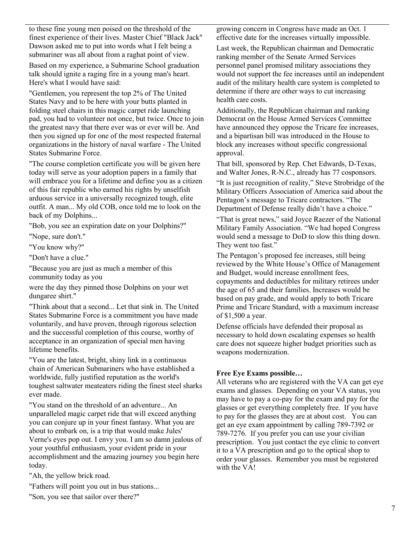to these fine young men poised on the threshold of the finest experience of their lives. Master Chief "Black Jack" Dawson asked me to put into words what I felt being a submariner was all about from a raghat point of view.

Based on my experience, a Submarine School graduation talk should ignite a raging fire in a young man's heart. Here's what I would have said:

"Gentlemen, you represent the top 2% of The United States Navy and to be here with your butts planted in folding steel chairs in this magic carpet ride launching pad, you had to volunteer not once, but twice. Once to join the greatest navy that there ever was or ever will be. And then you signed up for one of the most respected fraternal organizations in the history of naval warfare - The United States Submarine Force.

"The course completion certificate you will be given here today will serve as your adoption papers in a family that will embrace you for a lifetime and define you as a citizen of this fair republic who earned his rights by unselfish arduous service in a universally recognized tough, elite outfit. A man... My old COB, once told me to look on the back of my Dolphins...

"Bob, you see an expiration date on your Dolphins?"

"Nope, sure don't."

"You know why?"

"Don't have a clue."

"Because you are just as much a member of this community today as you

were the day they pinned those Dolphins on your wet dungaree shirt."

"Think about that a second... Let that sink in. The United States Submarine Force is a commitment you have made voluntarily, and have proven, through rigorous selection and the successful completion of this course, worthy of acceptance in an organization of special men having lifetime benefits.

"You are the latest, bright, shiny link in a continuous chain of American Submariners who have established a worldwide, fully justified reputation as the world's toughest saltwater meateaters riding the finest steel sharks ever made.

"You stand on the threshold of an adventure... An unparalleled magic carpet ride that will exceed anything you can conjure up in your finest fantasy. What you are about to embark on, is a trip that would make Jules' Verne's eyes pop out. I envy you. I am so damn jealous of your youthful enthusiasm, your evident pride in your accomplishment and the amazing journey you begin here today.

"Ah, the yellow brick road.

"Fathers will point you out in bus stations...

"Son, you see that sailor over there?"

growing concern in Congress have made an Oct. 1 effective date for the increases virtually impossible.

Last week, the Republican chairman and Democratic ranking member of the Senate Armed Services personnel panel promised military associations they would not support the fee increases until an independent audit of the military health care system is completed to determine if there are other ways to cut increasing health care costs.

Additionally, the Republican chairman and ranking Democrat on the House Armed Services Committee have announced they oppose the Tricare fee increases, and a bipartisan bill was introduced in the House to block any increases without specific congressional approval.

That bill, sponsored by Rep. Chet Edwards, D-Texas, and Walter Jones, R-N.C., already has 77 cosponsors.

"It is just recognition of reality," Steve Strobridge of the Military Officers Association of America said about the Pentagon's message to Tricare contractors. "The Department of Defense really didn't have a choice."

"That is great news," said Joyce Raezer of the National Military Family Association. "We had hoped Congress would send a message to DoD to slow this thing down. They went too fast."

The Pentagon's proposed fee increases, still being reviewed by the White House's Office of Management and Budget, would increase enrollment fees, copayments and deductibles for military retirees under the age of 65 and their families. Increases would be based on pay grade, and would apply to both Tricare Prime and Tricare Standard, with a maximum increase of \$1,500 a year.

Defense officials have defended their proposal as necessary to hold down escalating expenses so health care does not squeeze higher budget priorities such as weapons modernization.

# **Free Eye Exams possible…**

All veterans who are registered with the VA can get eye exams and glasses. Depending on your VA status, you may have to pay a co-pay for the exam and pay for the glasses or get everything completely free. If you have to pay for the glasses they are at about cost. You can get an eye exam appointment by calling 789-7392 or 789-7276. If you prefer you can use your civilian prescription. You just contact the eye clinic to convert it to a VA prescription and go to the optical shop to order your glasses. Remember you must be registered with the VA!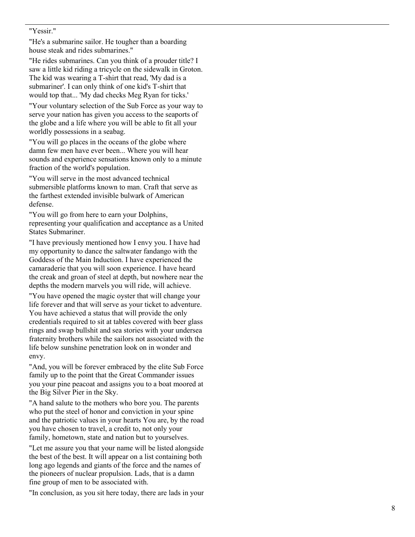#### "Yessir."

"He's a submarine sailor. He tougher than a boarding house steak and rides submarines."

"He rides submarines. Can you think of a prouder title? I saw a little kid riding a tricycle on the sidewalk in Groton. The kid was wearing a T -shirt that read, 'My dad is a submariner'. I can only think of one kid's T -shirt that would top that... 'My dad checks Meg Ryan for ticks.'

"Your voluntary selection of the Sub Force as your way to serve your nation has given you access to the seaports of the globe and a life where you will be able to fit all your worldly possessions in a seabag.

"You will go places in the oceans of the globe where damn few men have ever been... Where you will hear sounds and experience sensations known only to a minute fraction of the world's population.

"You will serve in the most advanced technical submersible platforms known to man. Craft that serve as the farthest extended invisible bulwark of American defense.

"You will go from here to earn your Dolphins , representing your qualification and acceptance as a United States Submariner.

"I have previously mentioned how I envy you. I have had my opportunity to dance the saltwater fandango with the Goddess of the Main Induction. I have experienced the camaraderie that you will soon experience. I have heard the creak and groan of steel at depth, but nowhere near the depths the modern marvels you will ride, will achieve.

"You have opened the magic oyster that will change your life forever and that will serve as your ticket to adventure. You have achieved a status that will provide the only credentials required to sit at tables covered with beer glass rings and swap bullshit and sea stories with your undersea fraternity brothers while the sailors not associated with the life below sunshine penetration look on in wonder and envy.

"And, you will be forever embraced by the elite Sub Force family up to the point that the Great Commander issues you your pine peacoat and assigns you to a boat moored at the Big Silver Pier in the Sky.

"A hand salute to the mothers who bore you. The parents who put the steel of honor and conviction in your spine and the patriotic values in your hearts You are, by the road you have chosen to travel, a credit to, not only your family, hometown, state and nation but to yourselves.

"Let me assure you that your name will be listed alongside the best of the best. It will appear on a list containing both long ago legends and giants of the force and the names of the pioneers of nuclear propulsion. Lads, that is a damn fine group of men to be associated with.

"In conclusion, as you sit here today, there are lads in your